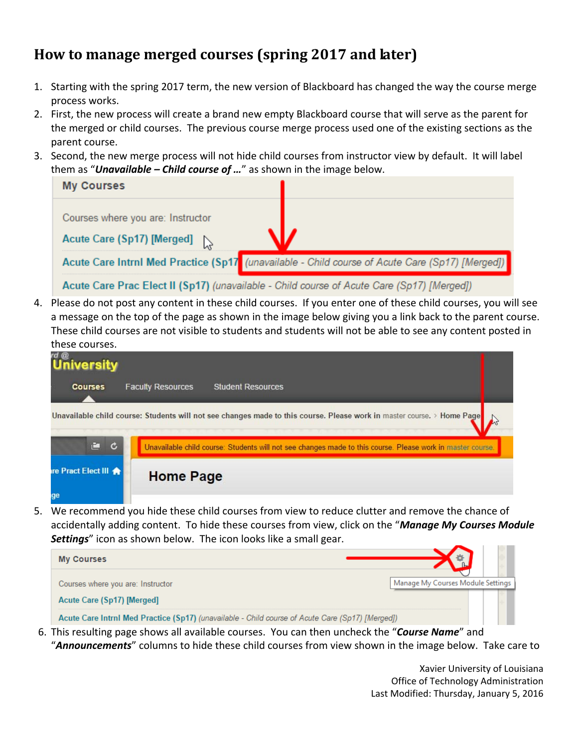## **How to manage merged courses (spring 2017 and later)**

- 1. Starting with the spring 2017 term, the new version of Blackboard has changed the way the course merge process works.
- 2. First, the new process will create a brand new empty Blackboard course that will serve as the parent for the merged or child courses. The previous course merge process used one of the existing sections as the parent course.
- 3. Second, the new merge process will not hide child courses from instructor view by default. It will label them as "*Unavailable – Child course of …*" as shown in the image below.

| <b>My Courses</b>                                                                               |  |  |  |  |  |  |
|-------------------------------------------------------------------------------------------------|--|--|--|--|--|--|
| Courses where you are: Instructor<br>Acute Care (Sp17) [Merged]                                 |  |  |  |  |  |  |
| Acute Care Intrnl Med Practice (Sp17 (unavailable - Child course of Acute Care (Sp17) [Merged]) |  |  |  |  |  |  |
| Acute Care Prac Elect II (Sp17) (unavailable - Child course of Acute Care (Sp17) [Merged])      |  |  |  |  |  |  |

4. Please do not post any content in these child courses. If you enter one of these child courses, you will see a message on the top of the page as shown in the image below giving you a link back to the parent course. These child courses are not visible to students and students will not be able to see any content posted in these courses.

| rd @<br>University         |                                                                                                                        |
|----------------------------|------------------------------------------------------------------------------------------------------------------------|
| <b>Courses</b>             | <b>Faculty Resources</b><br><b>Student Resources</b>                                                                   |
|                            | Unavailable child course: Students will not see changes made to this course. Please work in master course. > Home Page |
| 直<br>$\mathbf{c}$          | Unavailable child course: Students will not see changes made to this course. Please work in master course.             |
| <b>Ire Pract Elect III</b> | <b>Home Page</b>                                                                                                       |
| ge                         |                                                                                                                        |

5. We recommend you hide these child courses from view to reduce clutter and remove the chance of accidentally adding content. To hide these courses from view, click on the "*Manage My Courses Module Settings*" icon as shown below. The icon looks like a small gear.



6. This resulting page shows all available courses. You can then uncheck the "*Course Name*" and "*Announcements*" columns to hide these child courses from view shown in the image below. Take care to

> Xavier University of Louisiana Office of Technology Administration Last Modified: Thursday, January 5, 2016